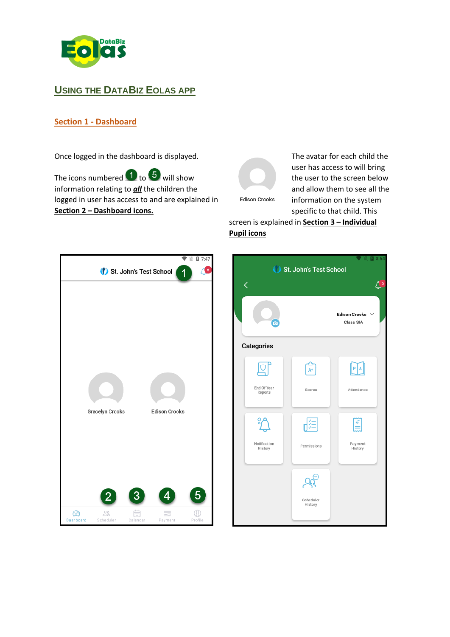

# **USING THE DATABIZ EOLAS APP**

## **Section 1 - Dashboard**

Once logged in the dashboard is displayed.

The icons numbered  $\bigoplus$  to  $\bigoplus$  will show information relating to *all* the children the logged in user has access to and are explained in **Section 2 – Dashboard icons.**



The avatar for each child the user has access to will bring the user to the screen below and allow them to see all the information on the system specific to that child. This

# screen is explained in **Section 3 – Individual Pupil icons**



|                         |                        | 8:54                              |
|-------------------------|------------------------|-----------------------------------|
|                         | St. John's Test School |                                   |
| く                       |                        | 4 <sup>5</sup>                    |
| စ                       |                        | <b>Edison Crooks</b><br>Class SIA |
| Categories              |                        |                                   |
| <b>gr</b>               | جے<br>A+               | $\boxed{P}$                       |
| End Of Year<br>Reports  | Scores                 | Attendance                        |
|                         | 距                      | E                                 |
| Notification<br>History | Permissions            | Payment<br>History                |
|                         |                        |                                   |
|                         | Scheduler<br>History   |                                   |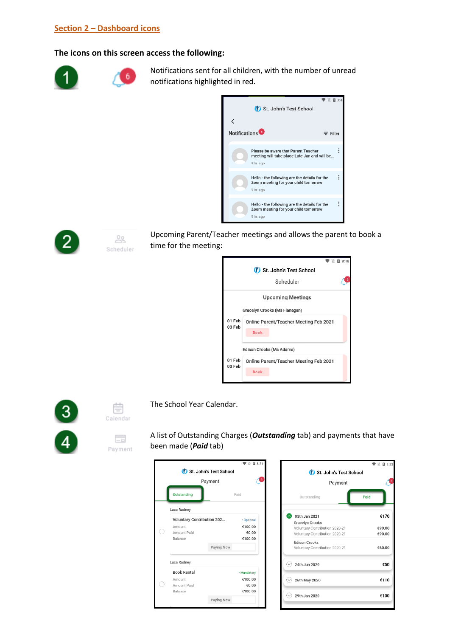### **Section 2 – Dashboard icons**

#### **The icons on this screen access the following:**

6



Notifications sent for all children, with the number of unread notifications highlighted in red.





 $\frac{0}{2}$ Scheduler Upcoming Parent/Teacher meetings and allows the parent to book a time for the meeting:







E. Payment The School Year Calendar.



A list of Outstanding Charges (*Outstanding* tab) and payments that have been made (*Paid* tab)

|                                   |                    |                            | <b>M</b> 8:21 |
|-----------------------------------|--------------------|----------------------------|---------------|
|                                   |                    | (Y) St. John's Test School |               |
|                                   |                    | Payment                    |               |
|                                   | <b>Outstanding</b> |                            | Paid          |
|                                   | Luca Radney        |                            |               |
| <b>Voluntary Contribution 202</b> |                    | · Optional                 |               |
|                                   | Amount             |                            | €100.00       |
|                                   | Amount Paid        |                            | €0.00         |
|                                   | Balance            |                            | €100.00       |
|                                   |                    | Paying Now                 |               |
|                                   | Luca Radney        |                            |               |
|                                   | <b>Book Rental</b> |                            | · Mandatory   |
|                                   | Amount             |                            | €100.00       |
|                                   | Amount Paid        |                            | €0.00         |
|                                   | Balance            |                            | €100.00       |
|                                   |                    | Paying Now                 |               |
|                                   |                    |                            |               |

|                                                                                     | ■ 图 8:33         |
|-------------------------------------------------------------------------------------|------------------|
| St. John's Test School                                                              |                  |
| Payment                                                                             |                  |
| Outstanding                                                                         | Paid             |
| 05th Jan 2021                                                                       | €170             |
| Gracelyn Crooks<br>Voluntary Contribution 2020-21<br>Voluntary Contribution 2020-21 | €90.00<br>€90.00 |
| <b>Edison Crooks</b><br>Voluntary Contribution 2020-21                              | €60.00           |
| 24th Jun 2020<br>(v                                                                 | €50              |
| 26th May 2020<br>(v                                                                 | €110             |
| 29th Jan 2020                                                                       | €100             |
|                                                                                     |                  |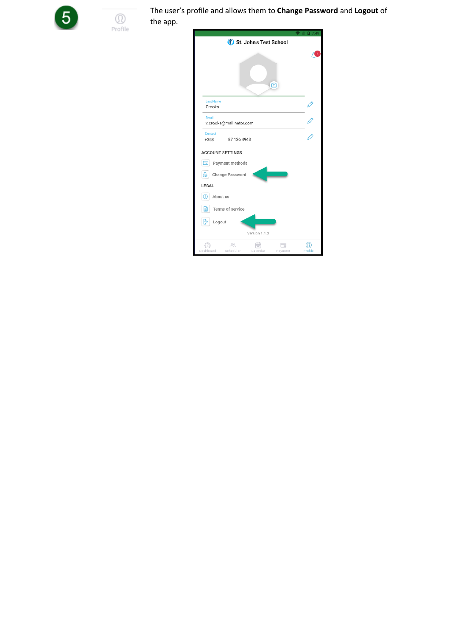

 $^\copyright$ Profile The user's profile and allows them to **Change Password** and **Logout** of the app.

| St. John's Test School                                      |                |
|-------------------------------------------------------------|----------------|
|                                                             | 6              |
| ල                                                           |                |
| <b>Last Name</b><br>Crooks                                  |                |
| Email<br>x.crooks@mailinator.com                            |                |
| Contact<br>87 126 4943<br>$+353$                            |                |
| <b>ACCOUNT SETTINGS</b>                                     |                |
| Payment methods<br>匚                                        |                |
| Change Password                                             |                |
| LEGAL                                                       |                |
| About us<br>Œ                                               |                |
| Terms of service<br>∃                                       |                |
| ₿<br>Logout                                                 |                |
| Version 1.1.3                                               |                |
| 22<br>$ -$<br>Dashboard<br>Scheduler<br>Calendar<br>Payment | ſΩ.<br>Profile |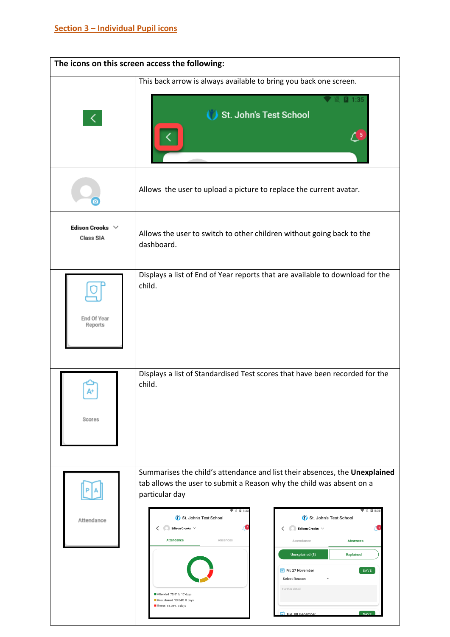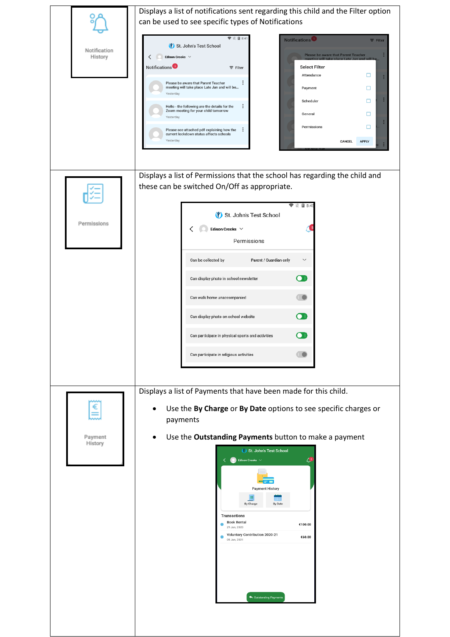|                         | Displays a list of notifications sent regarding this child and the Filter option<br>can be used to see specific types of Notifications                                                                                                                                                                                                                                                                                                                                                                                                                                                                                                                                                                 |  |  |
|-------------------------|--------------------------------------------------------------------------------------------------------------------------------------------------------------------------------------------------------------------------------------------------------------------------------------------------------------------------------------------------------------------------------------------------------------------------------------------------------------------------------------------------------------------------------------------------------------------------------------------------------------------------------------------------------------------------------------------------------|--|--|
| Notification<br>History | $\nabla \mathbb{E}$ 2 8:41<br>Notifications<br>$\equiv$ Filter<br>St. John's Test School<br>Please be aware that Parent Teacher<br>$\langle \quad   \quad \quad$ Edison Crooks $\lor$<br>Notifications <sup>5</sup><br><b>Select Filter</b><br>$\equiv$ Filter<br>□<br>Attendance<br>Please be aware that Parent Teacher<br>meeting will take place Late Jan and will be<br>□<br>Payment<br>Yesterday<br>Scheduler<br>□<br>i<br>Hello - the following are the details for the<br>Zoom meeting for your child tomorrow<br>□<br>General<br>Yesterday<br>□<br>Permissions<br>Please see attached pdf explaining how the<br>current lockdown status affects schools<br>Yesterday<br>CANCEL<br><b>APPLY</b> |  |  |
| Permissions             | Displays a list of Permissions that the school has regarding the child and<br>these can be switched On/Off as appropriate.<br>$\mathbb{N}$ 28:45<br>St. John's Test School<br>Edison Crooks $\hspace{0.1em}\hspace{0.1em}\vee$<br>Permissions<br>Can be collected by<br>Parent / Guardian only<br>$\checkmark$<br>œ<br>Can display photo in school newsletter<br>Can walk home unaccompanied<br>$\blacksquare$<br>Can display photo on school website<br>$\bullet$ I<br>Can participate in physical sports and activities<br>Can participate in religious activities                                                                                                                                   |  |  |
| Payment<br>History      | Displays a list of Payments that have been made for this child.<br>Use the By Charge or By Date options to see specific charges or<br>payments<br>Use the Outstanding Payments button to make a payment<br>St. John's Test School<br>$\bigcirc$ Edison Crooks $\vee$<br>ی ِ<br>Payment History<br>By Charge<br>By Date<br><b>Transactions</b><br><b>Book Rental</b><br>€100.00<br>29 Jan, 2020<br>Voluntary Contribution 2020-21<br>€60.00<br>05 Jan, 2021<br>Outstanding Payments                                                                                                                                                                                                                     |  |  |